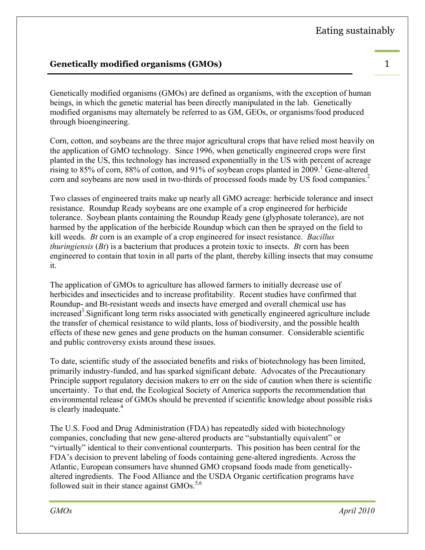## **Genetically modified organisms (GMOs)** 1

Genetically modified organisms (GMOs) are defined as organisms, with the exception of human beings, in which the genetic material has been directly manipulated in the lab. Genetically modified organisms may alternately be referred to as GM, GEOs, or organisms/food produced through bioengineering.

Corn, cotton, and soybeans are the three major agricultural crops that have relied most heavily on the application of GMO technology. Since 1996, when genetically engineered crops were first planted in the US, this technology has increased exponentially in the US with percent of acreage rising to 85% of corn, 88% of cotton, and 91% of soybean crops planted in 2009.<sup>1</sup> Gene-altered corn and soybeans are now used in two-thirds of processed foods made by US food companies.<sup>2</sup>

Two classes of engineered traits make up nearly all GMO acreage: herbicide tolerance and insect resistance. Roundup Ready soybeans are one example of a crop engineered for herbicide tolerance. Soybean plants containing the Roundup Ready gene (glyphosate tolerance), are not harmed by the application of the herbicide Roundup which can then be sprayed on the field to kill weeds. *Bt* corn is an example of a crop engineered for insect resistance. *Bacillus thuringiensis* (*Bt*) is a bacterium that produces a protein toxic to insects. *Bt* corn has been engineered to contain that toxin in all parts of the plant, thereby killing insects that may consume it.

The application of GMOs to agriculture has allowed farmers to initially decrease use of herbicides and insecticides and to increase profitability. Recent studies have confirmed that Roundup- and Bt-resistant weeds and insects have emerged and overall chemical use has increased<sup>3</sup>. Significant long term risks associated with genetically engineered agriculture include the transfer of chemical resistance to wild plants, loss of biodiversity, and the possible health effects of these new genes and gene products on the human consumer. Considerable scientific and public controversy exists around these issues.

To date, scientific study of the associated benefits and risks of biotechnology has been limited, primarily industry-funded, and has sparked significant debate. Advocates of the Precautionary Principle support regulatory decision makers to err on the side of caution when there is scientific uncertainty. To that end, the Ecological Society of America supports the recommendation that environmental release of GMOs should be prevented if scientific knowledge about possible risks is clearly inadequate.<sup>4</sup>

The U.S. Food and Drug Administration (FDA) has repeatedly sided with biotechnology companies, concluding that new gene-altered products are "substantially equivalent" or "virtually" identical to their conventional counterparts. This position has been central for the FDA's decision to prevent labeling of foods containing gene-altered ingredients. Across the Atlantic, European consumers have shunned GMO cropsand foods made from geneticallyaltered ingredients. The Food Alliance and the USDA Organic certification programs have followed suit in their stance against GMOs.<sup>5,6</sup>